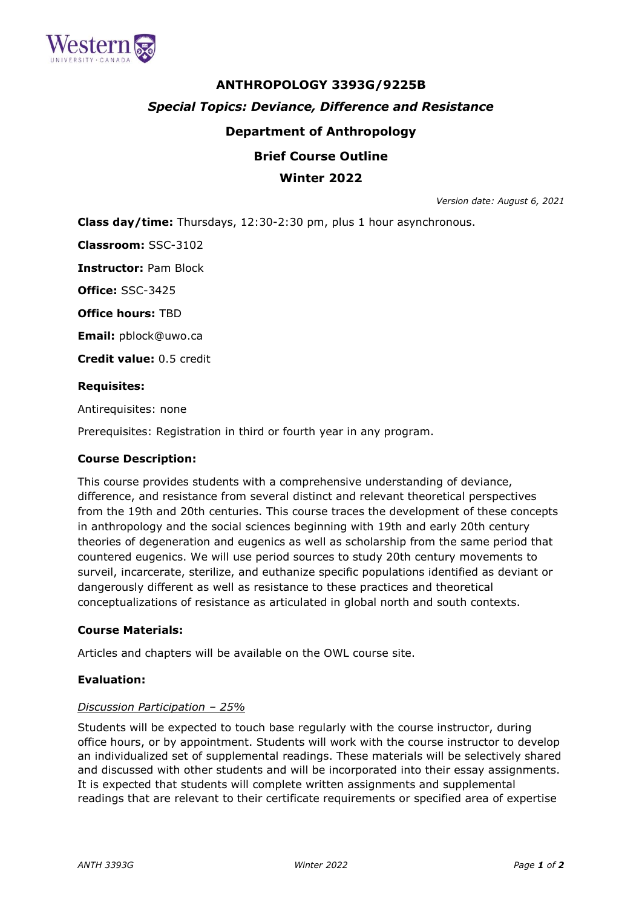

# **ANTHROPOLOGY 3393G/9225B** *Special Topics: Deviance, Difference and Resistance* **Department of Anthropology**

# **Brief Course Outline**

# **Winter 2022**

*Version date: August 6, 2021*

**Class day/time:** Thursdays, 12:30-2:30 pm, plus 1 hour asynchronous.

**Classroom:** SSC-3102

**Instructor:** Pam Block

**Office:** SSC-3425

**Office hours:** TBD

**Email:** pblock@uwo.ca

**Credit value:** 0.5 credit

#### **Requisites:**

Antirequisites: none

Prerequisites: Registration in third or fourth year in any program.

#### **Course Description:**

This course provides students with a comprehensive understanding of deviance, difference, and resistance from several distinct and relevant theoretical perspectives from the 19th and 20th centuries. This course traces the development of these concepts in anthropology and the social sciences beginning with 19th and early 20th century theories of degeneration and eugenics as well as scholarship from the same period that countered eugenics. We will use period sources to study 20th century movements to surveil, incarcerate, sterilize, and euthanize specific populations identified as deviant or dangerously different as well as resistance to these practices and theoretical conceptualizations of resistance as articulated in global north and south contexts.

#### **Course Materials:**

Articles and chapters will be available on the OWL course site.

### **Evaluation:**

#### *Discussion Participation – 25%*

Students will be expected to touch base regularly with the course instructor, during office hours, or by appointment. Students will work with the course instructor to develop an individualized set of supplemental readings. These materials will be selectively shared and discussed with other students and will be incorporated into their essay assignments. It is expected that students will complete written assignments and supplemental readings that are relevant to their certificate requirements or specified area of expertise